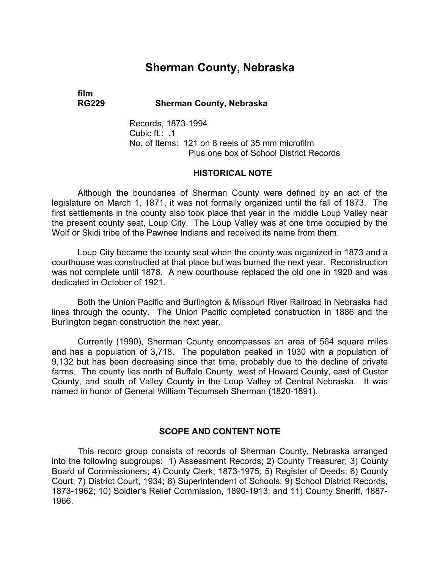# **Sherman County, Nebraska**

# **film**

**RG229 Sherman County, Nebraska** 

Records, 1873-1994 Cubic ft.: .1 No. of Items: 121 on 8 reels of 35 mm microfilm Plus one box of School District Records

#### **HISTORICAL NOTE**

Although the boundaries of Sherman County were defined by an act of the legislature on March 1, 1871, it was not formally organized until the fall of 1873. The first settlements in the county also took place that year in the middle Loup Valley near the present county seat, Loup City. The Loup Valley was at one time occupied by the Wolf or Skidi tribe of the Pawnee Indians and received its name from them.

Loup City became the county seat when the county was organized in 1873 and a courthouse was constructed at that place but was burned the next year. Reconstruction was not complete until 1878. A new courthouse replaced the old one in 1920 and was dedicated in October of 1921.

Both the Union Pacific and Burlington & Missouri River Railroad in Nebraska had lines through the county. The Union Pacific completed construction in 1886 and the Burlington began construction the next year.

Currently (1990), Sherman County encompasses an area of 564 square miles and has a population of 3,718. The population peaked in 1930 with a population of 9,132 but has been decreasing since that time, probably due to the decline of private farms. The county lies north of Buffalo County, west of Howard County, east of Custer County, and south of Valley County in the Loup Valley of Central Nebraska. It was named in honor of General William Tecumseh Sherman (1820-1891).

#### **SCOPE AND CONTENT NOTE**

This record group consists of records of Sherman County, Nebraska arranged into the following subgroups: 1) Assessment Records; 2) County Treasurer; 3) County Board of Commissioners; 4) County Clerk, 1873-1975; 5) Register of Deeds; 6) County Court; 7) District Court, 1934; 8) Superintendent of Schools; 9) School District Records, 1873-1962; 10) Soldier's Relief Commission, 1890-1913; and 11) County Sheriff, 1887- 1966.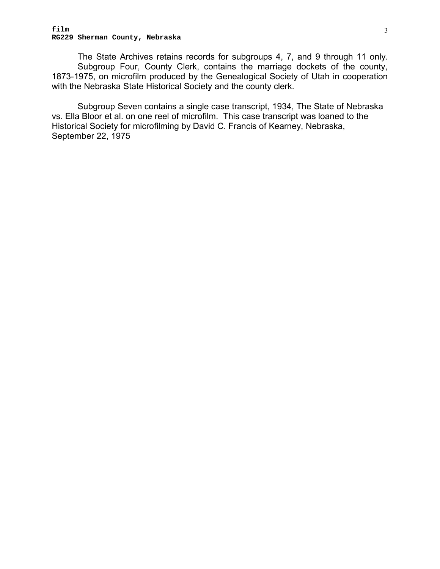The State Archives retains records for subgroups 4, 7, and 9 through 11 only. Subgroup Four, County Clerk, contains the marriage dockets of the county, 1873-1975, on microfilm produced by the Genealogical Society of Utah in cooperation with the Nebraska State Historical Society and the county clerk.

Subgroup Seven contains a single case transcript, 1934, The State of Nebraska vs. Ella Bloor et al. on one reel of microfilm. This case transcript was loaned to the Historical Society for microfilming by David C. Francis of Kearney, Nebraska, September 22, 1975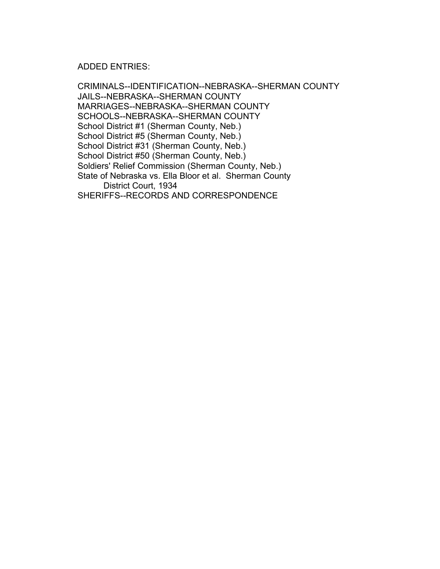ADDED ENTRIES:

CRIMINALS--IDENTIFICATION--NEBRASKA--SHERMAN COUNTY JAILS--NEBRASKA--SHERMAN COUNTY MARRIAGES--NEBRASKA--SHERMAN COUNTY SCHOOLS--NEBRASKA--SHERMAN COUNTY School District #1 (Sherman County, Neb.) � School District #5 (Sherman County, Neb.) � School District #31 (Sherman County, Neb.) � School District #50 (Sherman County, Neb.) Soldiers' Relief Commission (Sherman County, Neb.) State of Nebraska vs. Ella Bloor et al. Sherman County District Court, 1934 SHERIFFS--RECORDS AND CORRESPONDENCE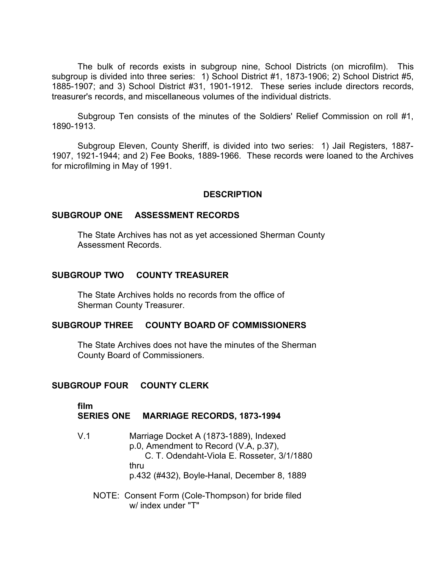The bulk of records exists in subgroup nine, School Districts (on microfilm). This subgroup is divided into three series: 1) School District #1, 1873-1906; 2) School District #5, 1885-1907; and 3) School District #31, 1901-1912. These series include directors records, treasurer's records, and miscellaneous volumes of the individual districts.

Subgroup Ten consists of the minutes of the Soldiers' Relief Commission on roll #1, 1890-1913.

Subgroup Eleven, County Sheriff, is divided into two series: 1) Jail Registers, 1887- 1907, 1921-1944; and 2) Fee Books, 1889-1966. These records were loaned to the Archives for microfilming in May of 1991.

#### **DESCRIPTION**

#### **SUBGROUP ONE ASSESSMENT RECORDS**

The State Archives has not as yet accessioned Sherman County Assessment Records.

#### **SUBGROUP TWO COUNTY TREASURER**

The State Archives holds no records from the office of � Sherman County Treasurer.

#### **SUBGROUP THREE COUNTY BOARD OF COMMISSIONERS**

The State Archives does not have the minutes of the Sherman County Board of Commissioners.

#### **SUBGROUP FOUR COUNTY CLERK**

**film**

#### **SERIES ONE MARRIAGE RECORDS, 1873-1994**

- V.1 Marriage Docket A (1873-1889), Indexed p.0, Amendment to Record (V.A, p.37), C. T. Odendaht-Viola E. Rosseter, 3/1/1880 thru p.432 (#432), Boyle-Hanal, December 8, 1889
	- NOTE: Consent Form (Cole-Thompson) for bride filed w/ index under "T"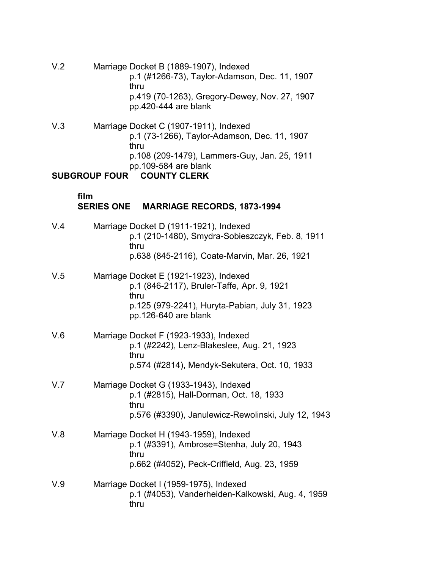- V.2 Marriage Docket B (1889-1907), Indexed p.1 (#1266-73), Taylor-Adamson, Dec. 11, 1907 thru p.419 (70-1263), Gregory-Dewey, Nov. 27, 1907 pp.420-444 are blank
- V.3 Marriage Docket C (1907-1911), Indexed p.1 (73-1266), Taylor-Adamson, Dec. 11, 1907 thru p.108 (209-1479), Lammers-Guy, Jan. 25, 1911 pp.109-584 are blank

#### **SUBGROUP FOUR COUNTY CLERK**

#### **film SERIES ONE MARRIAGE RECORDS, 1873-1994**

- V.4 Marriage Docket D (1911-1921), Indexed p.1 (210-1480), Smydra-Sobieszczyk, Feb. 8, 1911 thru p.638 (845-2116), Coate-Marvin, Mar. 26, 1921
- V.5 Marriage Docket E (1921-1923), Indexed p.1 (846-2117), Bruler-Taffe, Apr. 9, 1921 thru p.125 (979-2241), Huryta-Pabian, July 31, 1923 pp.126-640 are blank
- V.6 Marriage Docket F (1923-1933), Indexed p.1 (#2242), Lenz-Blakeslee, Aug. 21, 1923 thru p.574 (#2814), Mendyk-Sekutera, Oct. 10, 1933
- V.7 Marriage Docket G (1933-1943), Indexed p.1 (#2815), Hall-Dorman, Oct. 18, 1933 thru p.576 (#3390), Janulewicz-Rewolinski, July 12, 1943
- V.8 Marriage Docket H (1943-1959), Indexed p.1 (#3391), Ambrose=Stenha, July 20, 1943 thru p.662 (#4052), Peck-Criffield, Aug. 23, 1959
- V.9 Marriage Docket I (1959-1975), Indexed p.1 (#4053), Vanderheiden-Kalkowski, Aug. 4, 1959 thru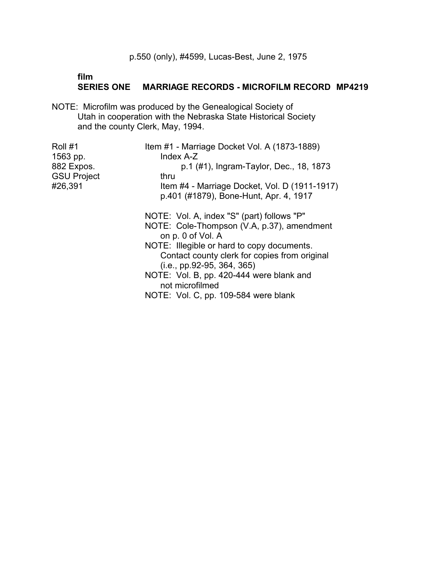#### **film SERIES ONE MARRIAGE RECORDS - MICROFILM RECORD MP4219**

NOTE: Microfilm was produced by the Genealogical Society of Utah in cooperation with the Nebraska State Historical Society and the county Clerk, May, 1994.

| Roll #1                       | Item #1 - Marriage Docket Vol. A (1873-1889)                    |
|-------------------------------|-----------------------------------------------------------------|
| 1563 pp.<br>882 Expos.        | Index A-Z<br>p.1 (#1), Ingram-Taylor, Dec., 18, 1873            |
| <b>GSU Project</b><br>#26,391 | thru<br>Item #4 - Marriage Docket, Vol. D (1911-1917)           |
|                               | p.401 (#1879), Bone-Hunt, Apr. 4, 1917                          |
|                               | NOTE: Vol. A, index "S" (part) follows "P"                      |
|                               | NOTE: Cole-Thompson (V.A, p.37), amendment<br>on p. 0 of Vol. A |
|                               | NOTE: Illegible or hard to copy documents.                      |
|                               | Contact county clerk for copies from original                   |
|                               | $(i.e., pp.92-95, 364, 365)$                                    |
|                               | NOTE: Vol. B, pp. 420-444 were blank and                        |
|                               | not microfilmed                                                 |
|                               | NOTE: Vol. C, pp. 109-584 were blank                            |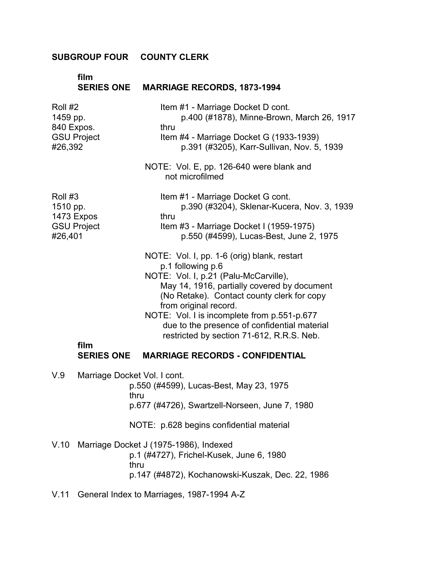#### **SUBGROUP FOUR COUNTY CLERK** �

|                                              | film                             | SERIES ONE MARRIAGE RECORDS, 1873-1994                                                                                                                                                                                                                                                                                                                                      |
|----------------------------------------------|----------------------------------|-----------------------------------------------------------------------------------------------------------------------------------------------------------------------------------------------------------------------------------------------------------------------------------------------------------------------------------------------------------------------------|
| Roll #2<br>1459 pp.<br>840 Expos.<br>#26,392 | <b>GSU Project</b>               | Item #1 - Marriage Docket D cont.<br>p.400 (#1878), Minne-Brown, March 26, 1917<br>thru<br>Item #4 - Marriage Docket G (1933-1939)<br>p.391 (#3205), Karr-Sullivan, Nov. 5, 1939                                                                                                                                                                                            |
|                                              |                                  | NOTE: Vol. E, pp. 126-640 were blank and<br>not microfilmed                                                                                                                                                                                                                                                                                                                 |
| Roll #3<br>1510 pp.<br>#26,401               | 1473 Expos<br><b>GSU Project</b> | Item #1 - Marriage Docket G cont.<br>p.390 (#3204), Sklenar-Kucera, Nov. 3, 1939<br>thru<br>Item #3 - Marriage Docket I (1959-1975)<br>p.550 (#4599), Lucas-Best, June 2, 1975                                                                                                                                                                                              |
|                                              | film                             | NOTE: Vol. I, pp. 1-6 (orig) blank, restart<br>p.1 following p.6<br>NOTE: Vol. I, p.21 (Palu-McCarville),<br>May 14, 1916, partially covered by document<br>(No Retake). Contact county clerk for copy<br>from original record.<br>NOTE: Vol. I is incomplete from p.551-p.677<br>due to the presence of confidential material<br>restricted by section 71-612, R.R.S. Neb. |
|                                              | <b>SERIES ONE</b>                | <b>MARRIAGE RECORDS - CONFIDENTIAL</b>                                                                                                                                                                                                                                                                                                                                      |
| V.9                                          |                                  | Marriage Docket Vol. I cont.<br>p.550 (#4599), Lucas-Best, May 23, 1975<br>thru<br>p.677 (#4726), Swartzell-Norseen, June 7, 1980                                                                                                                                                                                                                                           |
|                                              |                                  | NOTE: p.628 begins confidential material                                                                                                                                                                                                                                                                                                                                    |
| V.10                                         |                                  | Marriage Docket J (1975-1986), Indexed<br>p.1 (#4727), Frichel-Kusek, June 6, 1980<br>thru<br>p.147 (#4872), Kochanowski-Kuszak, Dec. 22, 1986                                                                                                                                                                                                                              |
| V.11                                         |                                  | General Index to Marriages, 1987-1994 A-Z                                                                                                                                                                                                                                                                                                                                   |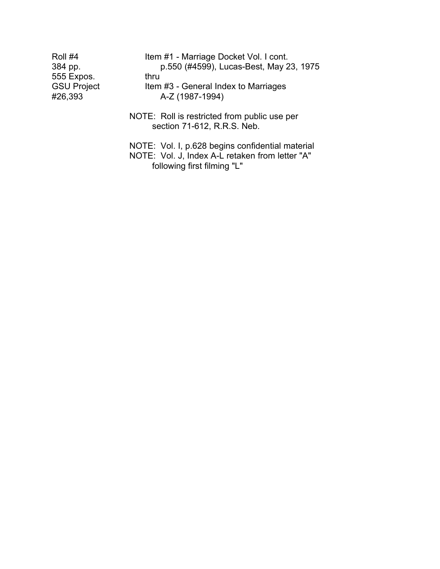| Roll #4            | Item #1 - Marriage Docket Vol. I cont.           |  |
|--------------------|--------------------------------------------------|--|
| 384 pp.            | p.550 (#4599), Lucas-Best, May 23, 1975          |  |
| 555 Expos.         | thru                                             |  |
| <b>GSU Project</b> | Item #3 - General Index to Marriages             |  |
| #26,393            | A-Z (1987-1994)                                  |  |
|                    |                                                  |  |
|                    | NOTE: Roll is restricted from public use per     |  |
|                    | section 71-612, R.R.S. Neb.                      |  |
|                    |                                                  |  |
|                    | NOTE: Vol. I, p.628 begins confidential material |  |

NOTE: Vol. J, Index A-L retaken from letter "A" following first filming "L"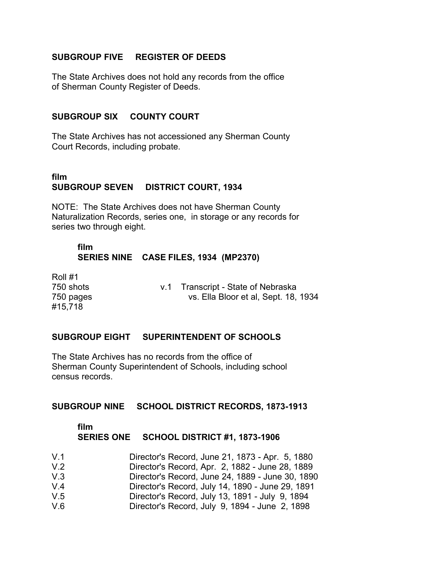#### **SUBGROUP FIVE REGISTER OF DEEDS**

The State Archives does not hold any records from the office of Sherman County Register of Deeds.

#### **SUBGROUP SIX COUNTY COURT**

The State Archives has not accessioned any Sherman County Court Records, including probate.

# **film SUBGROUP SEVEN DISTRICT COURT, 1934**

NOTE: The State Archives does not have Sherman County Naturalization Records, series one, in storage or any records for series two through eight.

#### **film SERIES NINE CASE FILES, 1934 (MP2370)**

Roll #1 #15,718

750 shots v.1 Transcript - State of Nebraska 750 pages vs. Ella Bloor et al, Sept. 18, 1934

#### **SUBGROUP EIGHT SUPERINTENDENT OF SCHOOLS**

The State Archives has no records from the office of Sherman County Superintendent of Schools, including school census records.

#### **SUBGROUP NINE SCHOOL DISTRICT RECORDS, 1873-1913**

#### **film SERIES ONE SCHOOL DISTRICT #1, 1873-1906**

| V <sub>1</sub> | Director's Record, June 21, 1873 - Apr. 5, 1880  |
|----------------|--------------------------------------------------|
| V <sub>2</sub> | Director's Record, Apr. 2, 1882 - June 28, 1889  |
| V.3            | Director's Record, June 24, 1889 - June 30, 1890 |
| $V_4$          | Director's Record, July 14, 1890 - June 29, 1891 |
| V.5            | Director's Record, July 13, 1891 - July 9, 1894  |
| V <sub>6</sub> | Director's Record, July 9, 1894 - June 2, 1898   |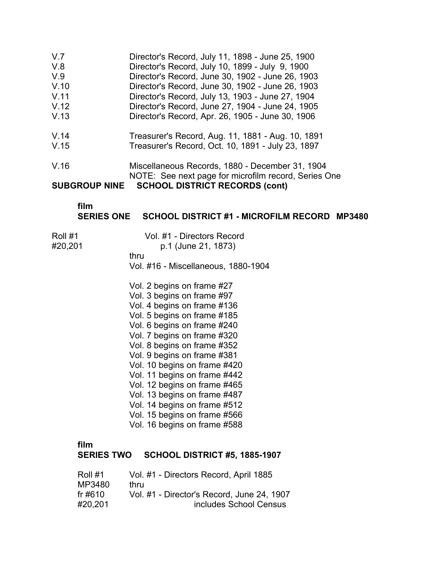V.7 � Director's Record, July 11, 1898 - June 25, 1900 V.8 � Director's Record, July 10, 1899 - July 9, 1900 V.9 � Director's Record, June 30, 1902 - June 26, 1903 V.10 � Director's Record, June 30, 1902 - June 26, 1903 V.11 � Director's Record, July 13, 1903 - June 27, 1904 V.12 � Director's Record, June 27, 1904 - June 24, 1905 V.13 � Director's Record, Apr. 26, 1905 - June 30, 1906 V.14 � Treasurer's Record, Aug. 11, 1881 - Aug. 10, 1891 V.15 � Treasurer's Record, Oct. 10, 1891 - July 23, 1897 V.16 � Miscellaneous Records, 1880 - December 31, 1904 NOTE: See next page for microfilm record, Series One

**SUBGROUP NINE SCHOOL DISTRICT RECORDS (cont)** 

**film** 

#### **SERIES ONE SCHOOL DISTRICT #1 - MICROFILM RECORD MP3480**

- 
- Roll #1 Vol. #1 Directors Record #20,201 p.1 (June 21, 1873)
	-

thru

Vol. #16 - Miscellaneous, 1880-1904

- Vol. 2 begins on frame #27 Vol. 3 begins on frame #97 Vol. 4 begins on frame #136 Vol. 5 begins on frame #185 Vol. 6 begins on frame #240 Vol. 7 begins on frame #320 Vol. 8 begins on frame #352 Vol. 9 begins on frame #381 Vol. 10 begins on frame #420 Vol. 11 begins on frame #442 Vol. 12 begins on frame #465 Vol. 13 begins on frame #487 Vol. 14 begins on frame #512 Vol. 15 begins on frame #566 Vol. 16 begins on frame #588
- **film**

**SERIES TWO SCHOOL DISTRICT #5, 1885-1907**

| Roll #1 | Vol. #1 - Directors Record, April 1885     |
|---------|--------------------------------------------|
| MP3480  | thru                                       |
| fr #610 | Vol. #1 - Director's Record, June 24, 1907 |
| #20.201 | includes School Census                     |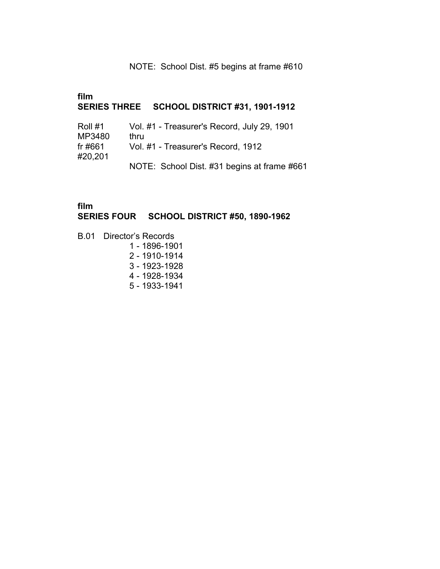#### NOTE: School Dist. #5 begins at frame #610

# **film SERIES THREE SCHOOL DISTRICT #31, 1901-1912**  Roll #1 Vol. #1 - Treasurer's Record, July 29, 1901

| MP3480  | thru                                        |
|---------|---------------------------------------------|
| fr #661 | Vol. #1 - Treasurer's Record, 1912          |
| #20,201 |                                             |
|         | NOTE: School Dist. #31 begins at frame #661 |

#### **film SERIES FOUR SCHOOL DISTRICT #50, 1890-1962**

- B.01 � Director's Records
	- 1 1896-1901
	- 2 1910-1914
	- 3 1923-1928
	- 4 1928-1934
	- 5 1933-1941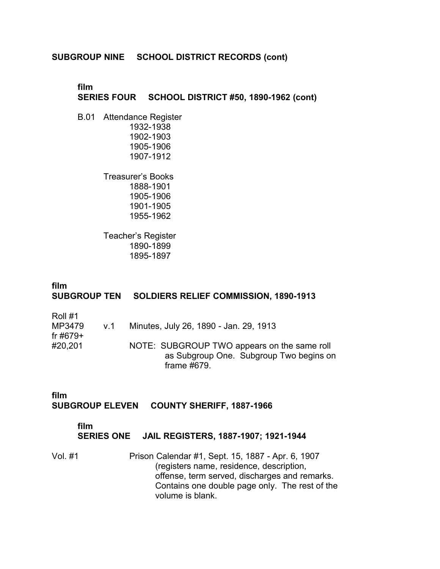#### **SUBGROUP NINE SCHOOL DISTRICT RECORDS (cont)**

#### **film SERIES FOUR SCHOOL DISTRICT #50, 1890-1962 (cont)**

B.01 Attendance Register 1932-1938 1902-1903 1905-1906 1907-1912

> Treasurer's Books 1888-1901 1905-1906 1901-1905 1955-1962

Teacher's Register 1890-1899 1895-1897

#### **film SUBGROUP TEN SOLDIERS RELIEF COMMISSION, 1890-1913**

| V.1 | Minutes, July 26, 1890 - Jan. 29, 1913      |
|-----|---------------------------------------------|
|     |                                             |
|     | NOTE: SUBGROUP TWO appears on the same roll |
|     | as Subgroup One. Subgroup Two begins on     |
|     | frame #679.                                 |
|     |                                             |

#### **film SUBGROUP ELEVEN COUNTY SHERIFF, 1887-1966**

#### **film**

#### **SERIES ONE JAIL REGISTERS, 1887-1907; 1921-1944**

Vol. #1 Prison Calendar #1, Sept. 15, 1887 - Apr. 6, 1907 (registers name, residence, description, offense, term served, discharges and remarks. Contains one double page only. The rest of the volume is blank.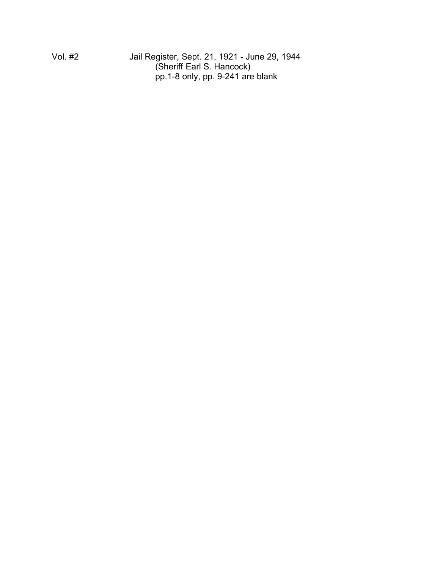Vol. #2 Jail Register, Sept. 21, 1921 - June 29, 1944 (Sheriff Earl S. Hancock) pp.1-8 only, pp. 9-241 are blank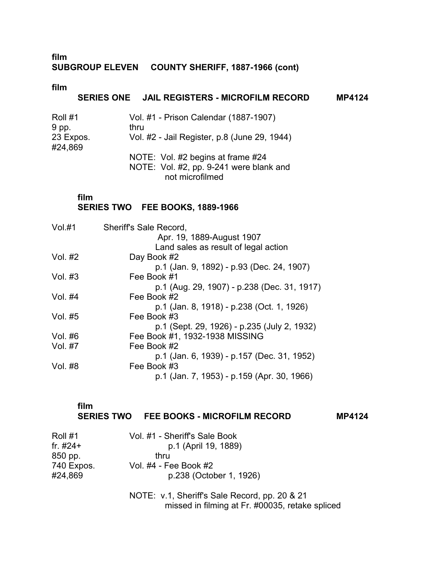#### **film SUBGROUP ELEVEN COUNTY SHERIFF, 1887-1966 (cont)**

**film** 

### **SERIES ONE JAIL REGISTERS - MICROFILM RECORD MP4124**

| Roll #1              | Vol. #1 - Prison Calendar (1887-1907)        |  |
|----------------------|----------------------------------------------|--|
| 9 pp.                | thru                                         |  |
| 23 Expos.<br>#24,869 | Vol. #2 - Jail Register, p.8 (June 29, 1944) |  |
|                      | NOTE: Vol. #2 begins at frame #24            |  |
|                      | NOTE: Vol. #2, pp. 9-241 were blank and      |  |
|                      |                                              |  |

not microfilmed

#### **film**

# **SERIES TWO FEE BOOKS, 1889-1966**

| Vol.H1    | Sheriff's Sale Record,                      |
|-----------|---------------------------------------------|
|           | Apr. 19, 1889-August 1907                   |
|           | Land sales as result of legal action        |
| Vol. #2   | Day Book #2                                 |
|           | p.1 (Jan. 9, 1892) - p.93 (Dec. 24, 1907)   |
| Vol. $#3$ | Fee Book #1                                 |
|           | p.1 (Aug. 29, 1907) - p.238 (Dec. 31, 1917) |
| Vol. #4   | Fee Book #2                                 |
|           | p.1 (Jan. 8, 1918) - p.238 (Oct. 1, 1926)   |
| Vol. #5   | Fee Book #3                                 |
|           | p.1 (Sept. 29, 1926) - p.235 (July 2, 1932) |
| Vol. #6   | Fee Book #1, 1932-1938 MISSING              |
| Vol. #7   | Fee Book #2                                 |
|           | p.1 (Jan. 6, 1939) - p.157 (Dec. 31, 1952)  |
| Vol. #8   | Fee Book #3                                 |
|           | p.1 (Jan. 7, 1953) - p.159 (Apr. 30, 1966)  |
|           |                                             |

| film |                                         |               |
|------|-----------------------------------------|---------------|
|      | SERIES TWO FEE BOOKS - MICROFILM RECORD | <b>MP4124</b> |

| Roll #1    | Vol. #1 - Sheriff's Sale Book                                                                    |
|------------|--------------------------------------------------------------------------------------------------|
| fr. $#24+$ | p.1 (April 19, 1889)                                                                             |
| 850 pp.    | thru                                                                                             |
| 740 Expos. | Vol. #4 - Fee Book #2                                                                            |
| #24,869    | p.238 (October 1, 1926)                                                                          |
|            | NOTE: v.1, Sheriff's Sale Record, pp. 20 & 21<br>missed in filming at Fr. #00035, retake spliced |